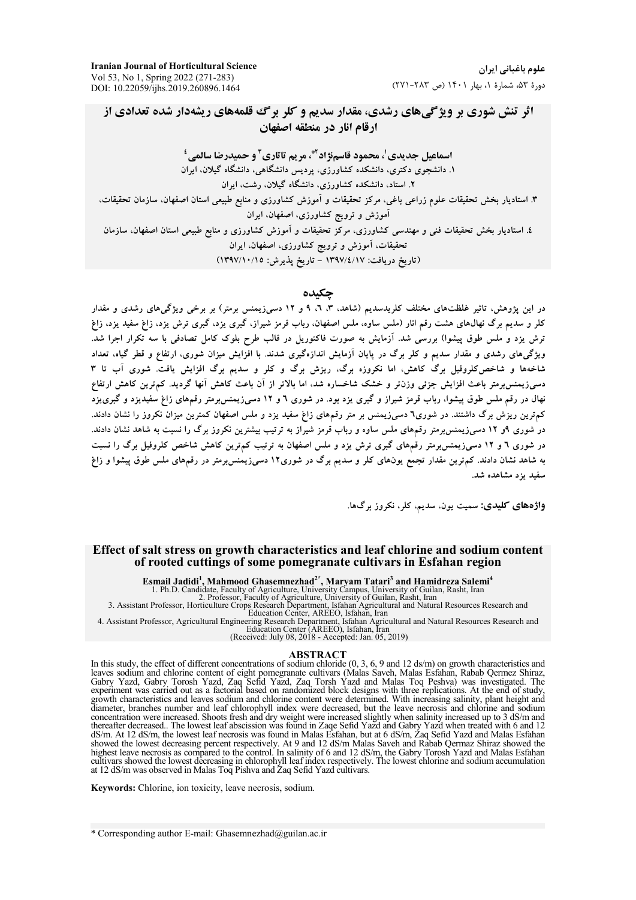علوم باغیانی ایران دورهٔ ۵۳، شمارهٔ ۱، بهار ۱۴۰۱ (ص ۲۸۳-۲۷۱)

**اثر تنش شوری بر ویژگیهای رشدی، مقدار سدیم و کلر برگ قلمههای ریشهدار شده تعدادی از** ارقام انار در منطقه اصفعان

اسماعيل جديدي'، محمود قاسمiؤ اد ِّه. مريم تاتاري ّ و حميدرضا سالمي <sup>؛</sup> ۱. دانشجوی دکتری، دانشکده کشاورزی، پردیس دانشگاهی، دانشگاه گیلان، ایران ۲. استاد، دانشکده کشاورزی، دانشگاه گیلان، رشت، ایران ۳. استادیار بخش تحقیقات علوم زراعی باغی، مرکز تحقیقات و آموزش کشاورزی و منابع طبیعی استان اصفهان، سازمان تحقیقات، آموزش و ترویج کشاورزی، اصفهان، ایران ٤. استادیار بخش تحقیقات فنی و مهندسی کشاورزی، مرکز تحقیقات و آموزش کشاورزی و منابع طبیعی استان اصفهان، سازمان تحقیقات، آموزش و ترویج کشاورزی، اصفهان، ایران (تاريخ دريافت: ١٣٩٧/٤/١٧ - تاريخ پذيرش: ١٣٩٧/١٠/١٥)

#### چکىدە

در این یژوهش، تاثیر غلظتهای مختلف کلریدسدیم (شاهد، ۳، ۹، ۹ و ۱۲ دسی;زیمنس برمتر) بر برخی ویژگیهای رشدی و مقدار کلر و سدیم برگ نهالهای هشت رقم انار (ملس ساوه، ملس اصفهان، رباب قرمز شیراز، گبری یزد، گبری ترش یزد، زاغ سفید یزد، زاغ ترش یزد و ملس طوق پیشوا) بررسی شد. آزمایش به صورت فاکتوریل در قالب طرح بلوک کامل تصادفی با سه تکرار اجرا شد. ویژگیهای رشدی و مقدار سدیم و کلر برگ در پایان آزمایش اندازهگیری شدند. با افزایش میزان شوری، ارتفاع و قطر گیاه، تعداد شاخهها و شاخص کلروفیل برگ کاهش، اما نکروزه برگ، ریزش برگ و کلر و سدیم برگ افزایش یافت. شوری آب تا ۳ دسرزيمنسبرمتر باعث افزايش جزئي وزن تر و خشک شاخساره شد، اما بالاتر از آن باعث کاهش آنها گرديد. کم ترين کاهش ارتفاع نهال در رقم ملس طوق پیشوا، رباب قرمز شیراز و گبری یزد بود. در شوری ٦ و ١٢ دسیزیمنسبرمتر رقمهای زاغ سفیدیزد و گبری یزد کمهترین ریزش برگ داشتند. در شوری٦ دسیزیمنس بر متر رقمهای زاغ سفید یزد و ملس اصفهان کمترین میزان نکروز را نشان دادند. در شوری ۹و ۱۲ دسی(یمنس برمتر رقمهای ملس ساوه و رباب قرمز شیراز به ترتیب بیشترین نکروز برگ را نسبت به شاهد نشان دادند. در شوری ٦ و ١٢ دسیزیمنس برمتر رقمهای گبری ترش یزد و ملس اصفهان به ترتیب کمترین کاهش شاخص کلروفیل برگ را نسبت به شاهد نشان دادند. کم ترین مقدار تجمع یونهای کلر و سدیم برگ در شوری۱۲ دسیزیمنسبرمتر در رقمهای ملس طوق پیشوا و زاغ سفید یزد مشاهده شد.

واژههای کلیدی: سمیت یون، سدیم، کلر، نکروز برگها.

#### Effect of salt stress on growth characteristics and leaf chlorine and sodium content of rooted cuttings of some pomegranate cultivars in Esfahan region

**Esmail Jadidi<sup>1</sup>, Mahmood Ghasemnezhad<sup>2\*</sup>, Maryam Tatari<sup>3</sup> and Hamidreza Salemi<sup>4</sup><br>1. Ph.D. Candidate, Faculty of Agriculture, University Campus, University of Guilan, Rasht, Iran<br>2. Professor, Faculty of Agriculture, U** 

2. Professor, Pacify of Agriculture, University of Guilan, Rashi, Iran<br>3. Assistant Professor, Horticulture Crops Research Department, Isfahan Agricultural and Natural Resources Research and<br>4. Assistant Professor, Agricul

**ABSTRACT**<br>In this study, the effect of different concentrations of sodium chloride (0, 3, 6, 9 and 12 ds/m) on growth characteristics and<br>leaves sodium and chlorine content of eight pomegranate cultivars (Malas Saveh, Mal experiment was carried. With increasing salinity, plant height and choren growth characteristics and leaves sodium and chlorine content were determined. With increasing salinity, plant height and diameter, branches number concentration were increased. Shoots fresh and dry weight were increased slightly when salinity increased up to 3 dS/m and thereafter decreased. The lowest leaf abscission was found in Zaqe Sefid Yazd and Gabry Yazd when treated with 6 and 12<br>dS/m. At 12 dS/m, the lowest leaf necrosis was found in Malas Esfahan, but at 6 dS/m, Zaq Sefid Yazd a showed the lowest decreasing percent respectively. At 9 and 12 dS/m Malas Saveh and Rabab Qermaz Shiraz showed the highest leave necrosis as compared to the control. In salinity of 6 and 12 dS/m, the Gabry Torosh Yazd and Malas Esfahan cultivars showed the lowest decreasing in chlorophyll leaf index respectively. The lowest chlorine and sodium accumulation<br>at 12 dS/m was observed in Malas Toq Pishva and Zaq Sefid Yazd cultivars.

Keywords: Chlorine, ion toxicity, leave necrosis, sodium.

\* Corresponding author E-mail: Ghasemnezhad@guilan.ac.ir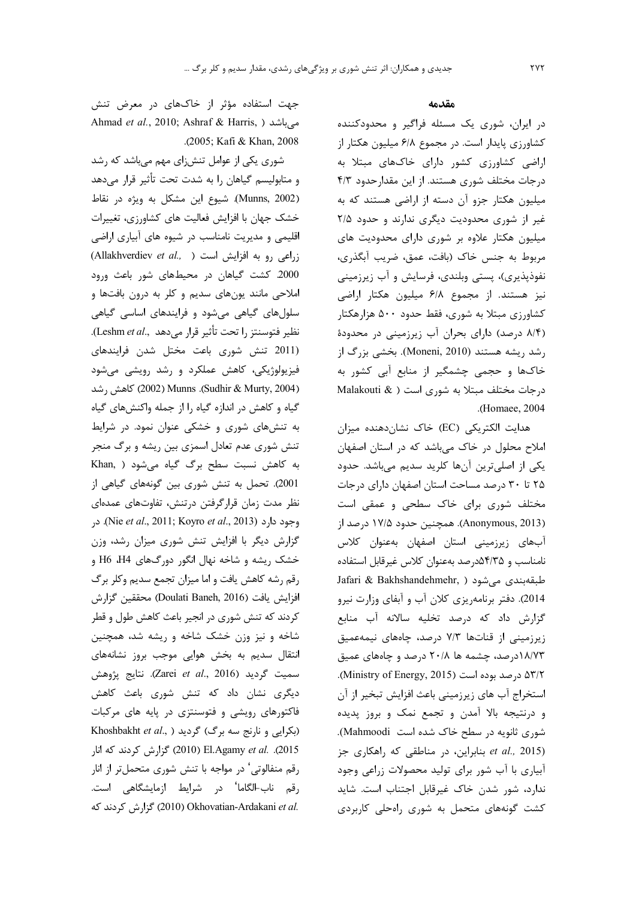#### مقدمه

در ایران، شوری یک مسئله فراگیر و محدودکننده کشاورزی پایدار است. در مجموع ۶/۸ میلیون هکتار از اراضی کشاورزی کشور دارای خاکهای مبتلا به درجات مختلف شوری هستند. از این مقدار حدود ۴/۳ میلیون هکتار جزو آن دسته از اراضی هستند که به غیر از شوری محدودیت دیگری ندارند و حدود ۲/۵ میلیون هکتار علاوه بر شوری دارای محدودیت های مربوط به جنس خاک (بافت، عمق، ضریب آبگذری، نفوذیذیری)، پستی وبلندی، فرسایش و آب زیرزمینی نیز هستند. از مجموع ۶/۸ میلیون هکتار اراضی کشاورزی مبتلا به شوری، فقط حدود ۵۰۰ هزارهکتار (۸/۴ درصد) دارای بحران آب زیرزمینی در محدودهٔ رشد ریشه هستند (Moneni, 2010). بخشی بزرگ از خاکها و حجمی چشمگیر از منابع آبی کشور به درجات مختلف مبتلا به شوری است ( Malakouti & .(Homaee, 2004).

هدایت الکتریکی (EC) خاک نشاندهنده میزان املاح محلول در خاک میباشد که در استان اصفهان یکی از اصلی ترین آنها کلرید سدیم میباشد. حدود ۲۵ تا ۳۰ درصد مساحت استان اصفهان دارای درجات مختلف شوری برای خاک سطحی و عمقی است (Anonymous, 2013). همچنین حدود ۱۷/۵ درصد از آبهای زیرزمینی استان اصفهان بهعنوان کلاس نامناسب و ۴/۳۵درصد بهعنوان كلاس غيرقابل استفاده Jafari & Bakhshandehmehr, ) طبقهبندی می شود 2014). دفتر برنامهريزي كلان آب و آبفاي وزارت نيرو گزارش داد که درصد تخلیه سالانه آب منابع زیرزمینی از قناتها ۷/۳ درصد، چاههای نیمهعمیق ۱۸/۷۳درصد، چشمه ها ۲۰/۸ درصد و چاههای عمیق ۵۳/۲ درصد بوده است (Ministry of Energy, 2015). استخراج آب های زیرزمینی باعث افزایش تبخیر از آن و درنتیجه بالا آمدن و تجمع نمک و بروز پدیده شوری ثانویه در سطح خاک شده است Mahmoodi). et al., 2015) بنابراین، در مناطقی که راهکاری جز آبیاری با آب شور برای تولید محصولات زراعی وجود ندارد، شور شدن خاک غیرقابل اجتناب است. شاید کشت گونههای متحمل به شوری راهحلی کاربردی

جهت استفاده مؤثر از خاکهای در معرض تنش Ahmad *et al.*, 2010; Ashraf & Harris, ) میباشد .(2005; Kafi & Khan, 2008

شوری یکی از عوامل تنش;ای مهم می باشد که رشد و متابولیسم گیاهان را به شدت تحت تأثیر قرار میدهد (Munns, 2002). شيوع اين مشكل به ويژه در نقاط خشک جهان با افزایش فعالیت های کشاورزی، تغییرات اقلیمی و مدیریت نامناسب در شیوه های آبیاری اراضی زراعی رو به افزایش است ( Allakhverdiev et al., ) 2000 كشت گياهان در محيطهاى شور باعث ورود املاحی مانند یونهای سدیم و کلر به درون بافتها و سلول های گیاهی می شود و فرایندهای اساسی گیاهی نظير فتوسنتز را تحت تأثير قرار مىدهد ..Leshm et al). (2011 تنش شوری باعت مختل شدن فرایندهای فیزیولوژیکی، کاهش عملکرد و رشد رویشی می شود (Sudhir & Murty, 2004). Munns). Sudhir & Murty, 2004) گیاه و کاهش در اندازه گیاه را از جمله واکنشهای گیاه به تنشهای شوری و خشکی عنوان نمود. در شرایط تنش شوری عدم تعادل اسمزی بین ریشه و برگ منجر به کاهش نسبت سطح برگ گیاه می شود ( Khan, 2001). تحمل به تنش شوري بين گونههاي گياهي از نظر مدت زمان قرارگرفتن درتنش، تفاوتهای عمدهای در (Nie et al., 2011; Koyro et al., 2013). در گزارش دیگر با افزایش تنش شوری میزان رشد، وزن خشک ریشه و شاخه نهال انگور دورگ های H6 ،H4 و رقم رشه كاهش يافت و اما ميزان تجمع سديم وكلر برگ افزايش يافت (Doulati Baneh, 2016) محققين گزارش كردند كه تنش شوري در انجير باعث كاهش طول و قطر شاخه و نیز وزن خشک شاخه و ریشه شد، همچنین انتقال سدیم به بخش هوایی موجب بروز نشانههای سميت گرديد (Zarei et al., 2016). نتايج پژوهش دیگری نشان داد که تنش شوری باعث کاهش فاکتورهای رویشی و فتوسنتزی در پایه های مرکبات Khoshbakht et al., ) گردید ( Khoshbakht et al., 2015). .El.Agamy et al (2010) گزارش کردند که انار رقم منفالوتی' در مواجه با تنش شوری متحمل تر از انار رقم ناب-الگاما در شرایط ازمایشگاهی است. .2010) Okhovatian-Ardakani et al گزارش کردند که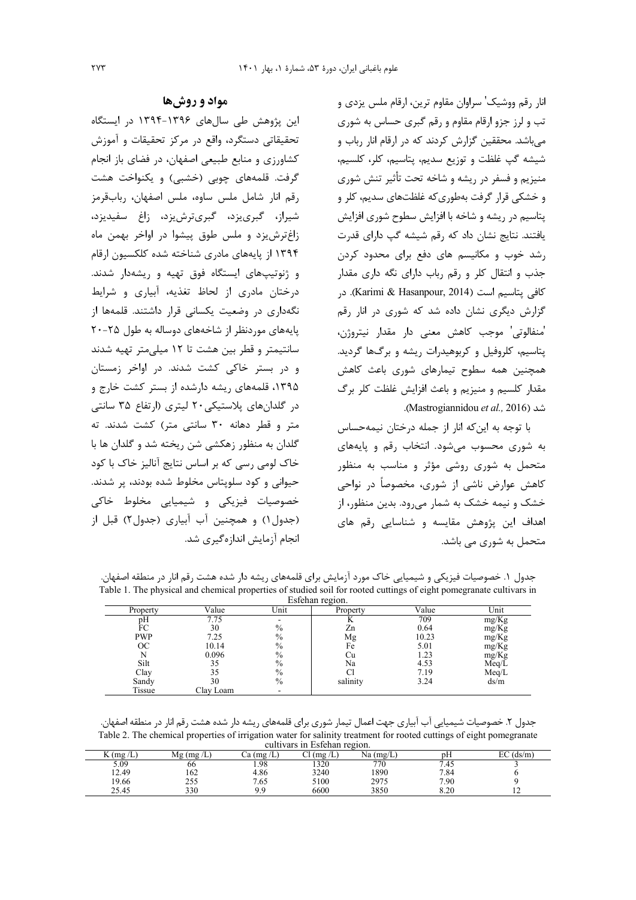انار رقم ووشیک' سراوان مقاوم ترین، ارقام ملس یزدی و تب و لرز جزو ارقام مقاوم و رقم گبری حساس به شوری میباشد. محققین گزارش کردند که در ارقام انار رباب و شيشه كب غلظت وتوزيع سديم، يتاسيم، كلر، كلسيم، منيزيم و فسفر در ريشه و شاخه تحت تأثير تنش شوري و خشکی قرار گرفت بهطوری که غلظتهای سدیم، کلر و پتاسیم در ریشه و شاخه با افزایش سطوح شوری افزایش یافتند. نتایج نشان داد که رقم شیشه گپ دارای قدرت رشد خوب و مکانیسم های دفع برای محدود کردن جذب و انتقال کلر و رقم رباب دارای نگه داری مقدار كافي يتاسيم است (Karimi & Hasanpour, 2014). در گزارش دیگری نشان داده شد که شوری در انار رقم 'منفالوتي' موجب كاهش معنى دار مقدار نيتروژن، پتاسیم، کلروفیل و کربوهیدرات ریشه و برگها گردید. همچنین همه سطوح تیمارهای شوری باعث کاهش مقدار کلسیم و منیزیم و باعث افزایش غلظت کلر برگ شد (Mastrogiannidou et al., 2016).

با توجه به این که انار از جمله درختان نیمهحساس به شوري محسوب مي شود. انتخاب رقم و پايههاي متحمل به شوری روشی مؤثر و مناسب به منظور کاهش عوارض ناشی از شوری، مخصوصاً در نواحی خشک و نیمه خشک به شمار میرود. بدین منظور، از اهداف این پژوهش مقایسه و شناسایی رقم های متحمل به شوری می باشد.

## مواد و روشها

این پژوهش طی سالهای ۱۳۹۶-۱۳۹۴ در ایستگاه تحقیقاتی دستگرد، واقع در مرکز تحقیقات و آموزش كشاورزي و منابع طبيعي اصفهان، در فضاي باز انجام گرفت. قلمههای چوبی (خشبی) و یکنواخت هشت رقم انار شامل ملس ساوه، ملس اصفهان، ربابقرمز شیراز، گېری،یزد، گېریترش،یزد، زاغ سفیدیزد، زاغ ترش یزد و ملس طوق پیشوا در اواخر بهمن ماه ۱۳۹۴ از پایههای مادری شناخته شده کلکسیون ارقام و ژنوتیپهای ایستگاه فوق تهیه و ریشهدار شدند. درختان مادری از لحاظ تغذیه، آبیاری و شرایط نگهداری در وضعیت یکسانی قرار داشتند. قلمهها از پایههای موردنظر از شاخههای دوساله به طول ۲۵-۲۰ سانتیمتر و قطر بین هشت تا ۱۲ میلی متر تهیه شدند و در بستر خاکی کشت شدند. در اواخر زمستان ۱۳۹۵، قلمههای ریشه دارشده از بستر کشت خارج و در گلدانهای پلاستیکی۲۰ لیتری (ارتفاع ۳۵ سانتی متر و قطر دهانه ۳۰ سانتی متر) کشت شدند. ته گلدان به منظور زهکشی شن ریخته شد و گلدان ها با خاک لومی رسی که بر اساس نتایج آنالیز خاک با کود حیوانی و کود سلویتاس مخلوط شده بودند، پر شدند. خصوصیات فیزیکی و شیمیایی مخلوط خاکی (جدول ۱) و همچنین آب آبیاری (جدول۲) قبل از انجام آزمایش اندازهگیری شد.

جدول ۱. خصوصیات فیزیکی و شیمیایی خاک مورد آزمایش برای قلمههای ریشه دار شده هشت رقم انار در منطقه اصفهان. Table 1. The physical and chemical properties of studied soil for rooted cuttings of eight pomegranate cultivars in

| Esienan region. |           |               |          |       |       |  |  |  |
|-----------------|-----------|---------------|----------|-------|-------|--|--|--|
| Property        | Value     | Unit          | Property | Value | Unit  |  |  |  |
| pН              | 7.75      |               |          | 709   | mg/Kg |  |  |  |
| FC              | 30        | $\%$          | Zn       | 0.64  | mg/Kg |  |  |  |
| <b>PWP</b>      | 7.25      | $\%$          | Mg       | 10.23 | mg/Kg |  |  |  |
| ОC              | 10.14     | $\%$          | Fe       | 5.01  | mg/Kg |  |  |  |
| N               | 0.096     | $\%$          | Cu       | 1.23  | mg/Kg |  |  |  |
| Silt            | 35        | $\frac{0}{0}$ | Na       | 4.53  | Meq/L |  |  |  |
| Clay            | 35        | $\frac{0}{0}$ |          | 7.19  | Meq/L |  |  |  |
| Sandy           | 30        | $\%$          | salinity | 3.24  | ds/m  |  |  |  |
| Tissue          | Clay Loam |               |          |       |       |  |  |  |

جدول ۲. خصوصیات شیمیایی آب آبیاری جهت اعمال تیمار شوری برای قلمههای ریشه دار شده هشت رقم انار در منطقه اصفهان. Table 2. The chemical properties of irrigation water for salinity treatment for rooted cuttings of eight pomegranate cultivars in Esfehar

| cantivato in Esichan region. |              |           |           |           |      |               |  |  |
|------------------------------|--------------|-----------|-----------|-----------|------|---------------|--|--|
| . (mg /L)                    | $Mg$ (mg /L) | Ca (mg/L) | ' (mg /L, | Na (mg/L) | pн   | (ds/m)<br>LV. |  |  |
| 5.09                         | 00           | 1.98      | 1320      | 770       | 7.45 |               |  |  |
| 12.49                        | 162          | 4.86      | 3240      | 890       | 7.84 |               |  |  |
| 19.66                        | 255          | 7.65      | 5100      | 2975      | 7.90 |               |  |  |
| 25.45                        | 330          | 9.9       | 6600      | 3850      | 8.20 | . .           |  |  |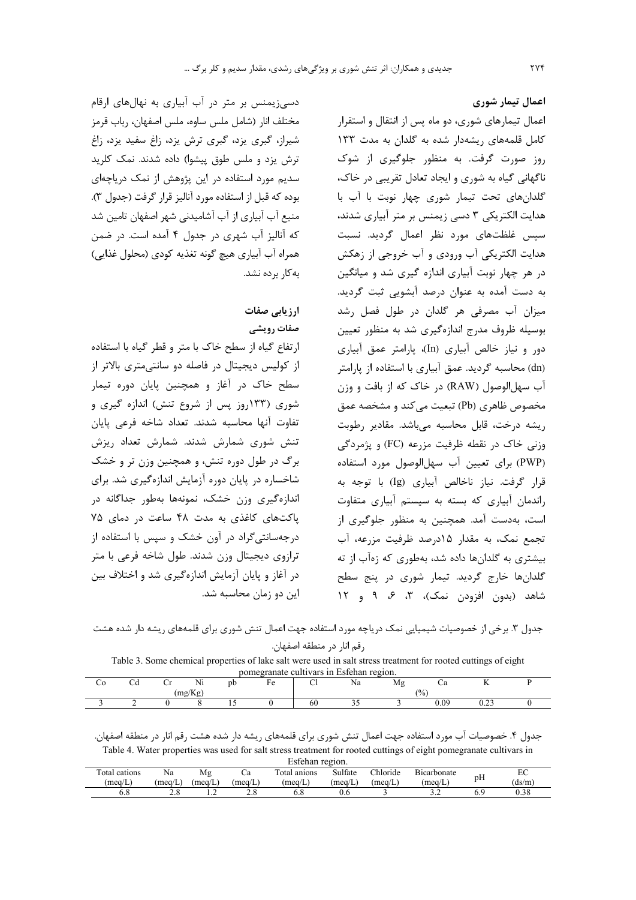دسی; یمنس بر متر در آب آبیاری به نهالهای ارقام مختلف انار (شامل ملس ساوه، ملس اصفهان، رباب قرمز شیراز، گبری یزد، گبری ترش یزد، زاغ سفید یزد، زاغ ترش یزد و ملس طوق پیشوا) داده شدند. نمک کلرید سدیم مورد استفاده در این پژوهش از نمک دریاچهای بوده كه قبل از استفاده مورد آناليز قرار گرفت (جدول ٣). منبع آب آبیاری از آب آشامیدنی شهر اصفهان تامین شد که آنالیز آب شهری در جدول ۴ آمده است. در ضمن همراه آب آبياري هيچ گونه تغذيه كودي (محلول غذايي) به کار بر ده نشد.

# ارزیابی صفات صفات رويشي

ارتفاع گیاه از سطح خاک با متر و قطر گیاه با استفاده از کولیس دیجیتال در فاصله دو سانتیمتری بالاتر از سطح خاک در آغاز و همچنین پایان دوره تیمار شوری (۱۳۳روز پس از شروع تنش) اندازه گیری و تفاوت آنها محاسبه شدند. تعداد شاخه فرعى پايان تنش شوری شمارش شدند. شمارش تعداد ریزش برگ در طول دوره تنش، و همچنین وزن تر و خشک شاخساره در پایان دوره آزمایش اندازهگیری شد. برای اندازهگیری وزن خشک، نمونهها بهطور جداگانه در یاکتهای کاغذی به مدت ۴۸ ساعت در دمای ۷۵ درجهسانتیگراد در آون خشک و سپس با استفاده از ترازوی دیجیتال وزن شدند. طول شاخه فرعی با متر در آغاز و پایان آزمایش اندازهگیری شد و اختلاف بین این دو زمان محاسبه شد.

اعمال تیمارهای شوری، دو ماه پس از انتقال و استقرار کامل قلمههای ریشهدار شده به گلدان به مدت ١٣٣ روز صورت گرفت. به منظور جلوگیری از شوک ناگهانی گیاه به شوری و ایجاد تعادل تقریبی در خاک، گلدانهای تحت تیمار شوری چهار نوبت با آب با هدایت الکتریکی ۳ دسی زیمنس بر متر آبیاری شدند، سیس غلظتهای مورد نظر اعمال گردید. نسبت هدایت الکتریکی آب ورودی و آب خروجی از زهکش در هر چهار نوبت آبیاری اندازه گیری شد و میانگین به دست آمده به عنوان درصد آبشويي ثبت گرديد. میزان آب مصرفی هر گلدان در طول فصل رشد بوسیله ظروف مدرج اندازهگیری شد به منظور تعیین دور و نیاز خالص آبیاری (In)، پارامتر عمق آبیاری (dn) محاسبه گردید. عمق آبیاری با استفاده از پارامتر آب سهل|لوصول (RAW) در خاک که از بافت و وزن مخصوص ظاهري (Pb) تبعيت مي كند و مشخصه عمق ریشه درخت، قابل محاسبه میباشد. مقادیر رطوبت وزنی خاک در نقطه ظرفیت مزرعه (FC) و پژمردگی (PWP) برای تعیین آب سهل|لوصول مورد استفاده قرار گرفت. نیاز ناخالص آبیاری (Ig) با توجه به راندمان آبیاری که بسته به سیستم آبیاری متفاوت است، بهدست آمد. همچنین به منظور جلوگیری از تجمع نمک، به مقدار ۱۵درصد ظرفیت مزرعه، آب بیشتری به گلدانها داده شد، بهطوری که زهآب از ته گلدانها خارج گردید. تیمار شوری در پنج سطح شاهد (بدون افزودن نمک)، ۳، ۶، ۹ و ۱۲

جدول ۳. برخی از خصوصیات شیمیایی نمک دریاچه مورد استفاده جهت اعمال تنش شوری برای قلمههای ریشه دار شده هشت رقم انار در منطقه اصفهان.

| Table 3. Some chemical properties of lake salt were used in salt stress treatment for rooted cuttings of eight |
|----------------------------------------------------------------------------------------------------------------|
| pomegranate cultivars in Esfehan region.                                                                       |

| Uθ | ~u<br>$ -$ | ັ<br>-- | Ni | pb | -<br>нο<br>$\mathbf{r}$<br>$ -$ | -<br>◡<br>$-$ | . .<br>Na | Μg    | va,  | $-$<br>. .<br>$-$ |  |
|----|------------|---------|----|----|---------------------------------|---------------|-----------|-------|------|-------------------|--|
|    |            | (mg/Kg  |    |    |                                 |               |           | (9/0) |      |                   |  |
|    |            |         |    |    |                                 | 60            | - -<br>-  |       | 0.09 | $\sim$<br>∪.∠J    |  |

جدول ۴. خصوصیات آب مورد استفاده جهت اعمال تنش شوری برای قلمههای ریشه دار شده هشت رقم انار در منطقه اصفهان. Table 4. Water properties was used for salt stress treatment for rooted cuttings of eight pomegranate cultivars in

| Esienan region. |            |                   |            |              |         |            |                     |              |                |
|-----------------|------------|-------------------|------------|--------------|---------|------------|---------------------|--------------|----------------|
| Total cations   | Na         | Mg                | Uа         | Total anions | Sulfate | ™hloride   | <b>B</b> icarbonate | $\mathbf{v}$ | ĽV.            |
| $m$ ea/L        | (mea/L)    | $^{\prime}$ meg/L | $'$ meg/L) | 'mea/L       | (mea/L) | $'$ meg/L) | mea/L               | pН           | $\frac{ds}{m}$ |
| o.ŏ             | $\sim$ . O |                   | ጎር<br>ن ــ | υ.ο          | U.O     |            | ے .                 |              | 0.38           |

اعمال تيمار شوري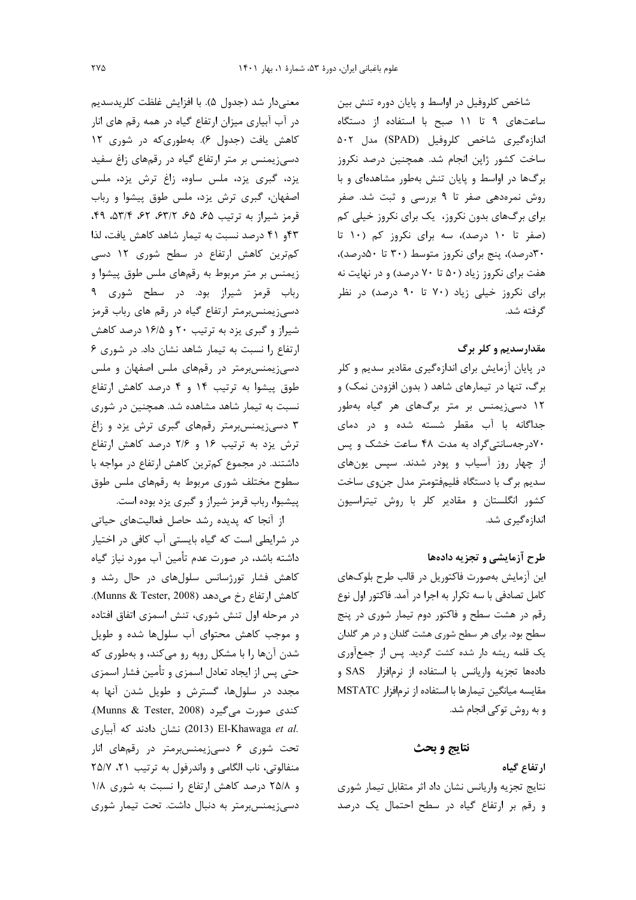معنىدار شد (جدول ۵). با افزايش غلظت كلريدسديم در آب آبیاری میزان ارتفاع گیاه در همه رقم های انار کاهش یافت (جدول ۶). بهطوری که در شوری ۱۲ دسی; یمنس بر متر ارتفاع گیاه در رقمهای زاغ سفید یزد، گبری یزد، ملس ساوه، زاغ ترش یزد، ملس اصفهان، گبری ترش یزد، ملس طوق پیشوا و رباب قرمز شيراز به ترتيب ۶۵، ۶۵، ٣٢/، ۶۲، ٣٢/۵، ۴۹، ۴۳و ۴۱ درصد نسبت به تیمار شاهد کاهش یافت، لذا کمترین کاهش ارتفاع در سطح شوری ۱۲ دسی زیمنس بر متر مربوط به رقمهای ملس طوق پیشوا و رباب قرمز شیراز بود. در سطح شوری ۹ دسیزیمنس برمتر ارتفاع گیاه در رقم های رباب قرمز شیراز و گبری یزد به ترتیب ۲۰ و ۱۶/۵ درصد کاهش ارتفاع را نسبت به تیمار شاهد نشان داد. در شوری ۶ دسی; یمنس برمتر در رقمهای ملس اصفهان و ملس طوق پیشوا به ترتیب ۱۴ و ۴ درصد کاهش ارتفاع نسبت به تیمار شاهد مشاهده شد. همچنین در شوری ۳ دسیزیمنس برمتر رقمهای گبری ترش یزد و زاغ ترش یزد به ترتیب ۱۶ و ۲/۶ درصد کاهش ارتفاع داشتند. در مجموع کمترین کاهش ارتفاع در مواجه با سطوح مختلف شوری مربوط به رقمهای ملس طوق پیشبوا، رباب قرمز شیراز و گبری یزد بوده است.

از آنجا که پدیده رشد حاصل فعالیتهای حیاتی در شرایطی است که گیاه بایستی آب کافی در اختیار داشته باشد، در صورت عدم تأمین آب مورد نیاز گیاه کاهش فشار تورژسانس سلولهای در حال رشد و كاهش ارتفاع رخ مى دهد (Munns & Tester, 2008). در مرحله اول تنش شورى، تنش اسمزى اتفاق افتاده و موجب کاهش محتوای آب سلولها شده و طویل شدن آنها را با مشکل روبه رو میکند، و بهطوری که حتی پس از ایجاد تعادل اسمزی و تأمین فشار اسمزی مجدد در سلولها، گسترش و طویل شدن آنها به کندی صورت می گیرد (Munns & Tester, 2008). .El-Khawaga et al (2013) نشان دادند که آبیاری تحت شوری ۶ دسیزیمنسبرمتر در رقمهای انار منفالوتي، ناب الگامي و واندرفول به ترتيب ٢١، ٢٥/٧ و ۲۵/۸ درصد کاهش ارتفاع را نسبت به شوری ۱/۸ دسیزیمنسبرمتر به دنبال داشت. تحت تیمار شوری

شاخص کلروفیل در اواسط و پایان دوره تنش بین ساعتهای ۹ تا ۱۱ صبح با استفاده از دستگاه اندازهگیری شاخص کلروفیل (SPAD) مدل ۵۰۲ ساخت کشور ژاپن انجام شد. همچنین درصد نکروز برگها در اواسط و پایان تنش بهطور مشاهدهای و با روش نمرهدهی صفر تا ۹ بررسی و ثبت شد. صفر برای برگ@ای بدون نکروز، یک برای نکروز خیلی کم (صفر تا ١٠ درصد)، سه برای نکروز کم (١٠ تا ۳۰درصد)، پنج برای نکروز متوسط (۳۰ تا ۵۰درصد)، هفت برای نکروز زیاد (۵۰ تا ۷۰ درصد) و در نهایت نه برای نکروز خیلی زیاد (۷۰ تا ۹۰ درصد) در نظر گرفته شد.

## مقدارسدیم و کلر برگ

در پایان آزمایش برای اندازهگیری مقادیر سدیم و کلر برگ، تنها در تیمارهای شاهد ( بدون افزودن نمک) و ۱۲ دسی;یمنس بر متر برگهای هر گیاه بهطور جداگانه با آب مقطر شسته شده و در دمای ۷۰درجهسانتی گراد به مدت ۴۸ ساعت خشک و پس از چهار روز آسیاب و پودر شدند. سپس یونهای سديم برگ با دستگاه فليمفتومتر مدل جنوي ساخت کشور انگلستان و مقادیر کلر با روش تیتراسیون اندازەگىرى شد.

## طرح آزمایشی و تجزیه دادهها

این آزمایش بهصورت فاکتوریل در قالب طرح بلوکهای كامل تصادفي با سه تكرار به اجرا در آمد. فاكتور اول نوع رقم در هشت سطح و فاکتور دوم تیمار شوری در پنج سطح بود. برای هر سطح شوری هشت گلدان و در هر گلدان یک قلمه ریشه دار شده کشت گردید. پس از جمعآوری دادهها تجزیه واریانس با استفاده از نرمافزار SAS و مقايسه ميانكين تيمارها با استفاده از نرمافزار MSTATC و به روش توکی انجام شد.

## نتايج و بحث

ارتفاع گیاه

نتايج تجزيه واريانس نشان داد اثر متقابل تيمار شورى و رقم بر ارتفاع گیاه در سطح احتمال یک درصد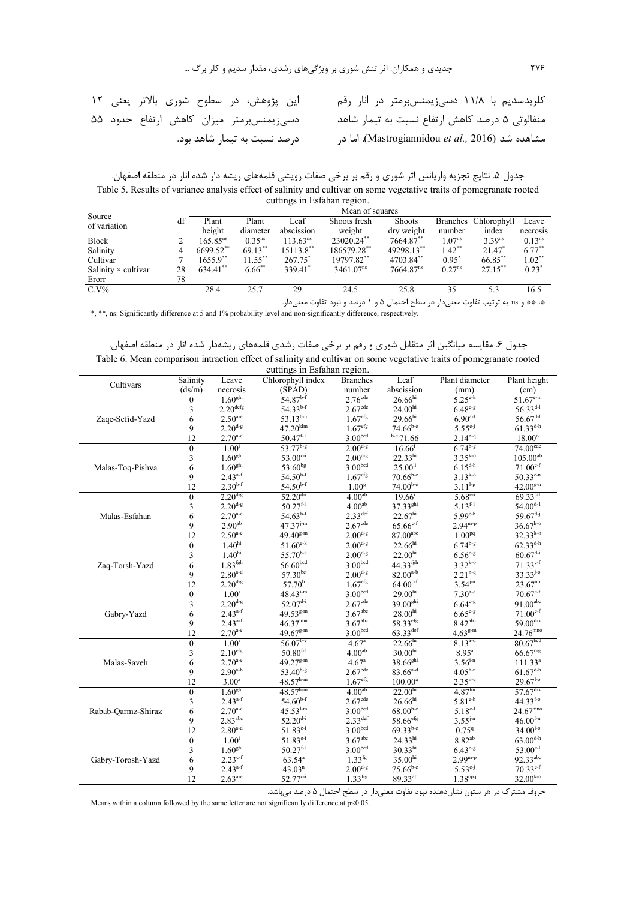کلریدسدیم با ۱۱/۸ دسی;یمنس،برمتر در آنار رقم منفالوتی ۵ درصد کاهش ارتفاع نسبت به تیمار شاهد مشاهده شد (Mastrogiannidou et al., 2016). اما در

جدول ۵. نتایج تجزیه واریانس اثر شوری و رقم بر برخی صفات رویشی قلمههای ریشه دار شده انار در منطقه اصفهان. Table 5. Results of variance analysis effect of salinity and cultivar on some vegetative traits of pomegranate rooted cuttings in Esfahan region.

| Source                     |    |                        |                      |                      | Mean of squares       |                       |                    |                      |                     |
|----------------------------|----|------------------------|----------------------|----------------------|-----------------------|-----------------------|--------------------|----------------------|---------------------|
| of variation               | df | Plant                  | Plant                | Leaf                 | Shoots fresh          | <b>Shoots</b>         |                    | Branches Chlorophyll | Leave               |
|                            |    | height                 | diameter             | abscission           | weight                | dry weight            | number             | index                | necrosis            |
| <b>Block</b>               |    | $165.85^{\text{ns}}$   | $0.35^{ns}$          | 113.63 <sup>ns</sup> | 23020.24**            | $7664.87$ **          | 1.07 <sup>ns</sup> | 3.39 <sup>ns</sup>   | 0.13 <sup>ns</sup>  |
| Salinity                   |    | 6699.52**              | $69.13***$           | 15113.8**            | 186579.28**           | 49298.13**            | $1.42$ **          | 21.47 <sup>*</sup>   | $6.77***$           |
| Cultivar                   |    | $1655.9$ <sup>**</sup> | $11.55***$           | $267.75^*$           | 19797.82**            | 4703.84**             | $0.95^*$           | 66.85**              | $1.02**$            |
| Salinity $\times$ cultivar | 28 | $634.41$ **            | $6.66$ <sup>**</sup> | 339.41               | 3461.07 <sup>ns</sup> | 7664.87 <sup>ns</sup> | $0.27^{ns}$        | 27.15**              | $0.23$ <sup>*</sup> |
| Erorr                      | 78 |                        |                      |                      |                       |                       |                    |                      |                     |
| $C.V\%$                    |    | 28.4                   | 25.7                 | 29                   | 24.5                  | 25.8                  | 35                 | 5.3                  | 16.5                |

\*» \*\* و as: به ترتيب تفاوت معنىدار در سطح احتمال ۵ و ۱ درصد و نبود تفاوت معنىدار.

\*, \*\*, ns: Significantly difference at 5 and 1% probability level and non-significantly difference, respectively.

جدول ۶. مقایسه میانگین اثر متقابل شوری و رقم بر برخی صفات رشدی قلمههای ریشهدار شده انار در منطقه اصفهان. Table 6. Mean comparison intraction effect of salinity and cultivar on some vegetative traits of pomegranate rooted cuttings in Esfahan region.

| Cultivars          | Salinity     | Leave               | Chlorophyll index        | <b>Branches</b>       | Leaf                     | Plant diameter        | Plant height             |
|--------------------|--------------|---------------------|--------------------------|-----------------------|--------------------------|-----------------------|--------------------------|
|                    | (ds/m)       | necrosis            | (SPAD)                   | number                | abscission               | (mm)                  | (cm)                     |
|                    | 0            | 1.60 <sup>ghi</sup> | $54.87^{b-f}$            | 2.76 <sup>cde</sup>   | $26.66^{hi}$             | $5.25^{e-k}$          | $51.67$ <sup>e-m</sup>   |
|                    | 3            | $2.20^{\rm def}$    | 54.33bf                  | 2.67 <sup>cde</sup>   | 24.00 <sup>hi</sup>      | $6.48^{c-g}$          | $56.33^{d-l}$            |
| Zaqe-Sefid-Yazd    | 6            | $2.50^{a-e}$        | $53.13^{b-h}$            | 1.67 <sup>efg</sup>   | 29.66 <sup>hi</sup>      | $6.90a-f$             | $56.67^{d-l}$            |
|                    | 9            | $2.20^{d-g}$        | $47.20$ <sup>klm</sup>   | $1.67^{\rm efg}$      | $74.66^{b-c}$            | $5.55^{e-j}$          | $61.33^{d-h}$            |
|                    | 12           | $2.70^{a-e}$        | $50.47^{f.1}$            | 3.00 <sub>bcd</sub>   | $b-e$ 71.66              | $2.14^{n-q}$          | $18.00^{\circ}$          |
|                    | $\mathbf{0}$ | 1.00 <sup>i</sup>   | $53.77^{b-g}$            | $2.00^{d-g}$          | $16.66^{i}$              | $6.74^{b-g}$          | 74.00 <sup>cde</sup>     |
|                    | 3            | 1.60 <sup>ghi</sup> | $53.00^{c-i}$            | $2.00^{\rm d-g}$      | 22.33 <sup>hi</sup>      | $3.35^{k-0}$          | $105.00^{\rm ab}$        |
| Malas-Toq-Pishva   | 6            | 1.60 <sup>ghi</sup> | $53.60^{bg}$             | 3.00 <sub>bcd</sub>   | 25.00 <sup>li</sup>      | $6.15^{d-h}$          | $71.00^{c-f}$            |
|                    | 9            | $2.43^{a-f}$        | $54.50^{b-f}$            | 1.67 <sup>efg</sup>   | $70.66^{b-e}$            | $3.13^{k-0}$          | $50.33^{e-n}$            |
|                    | 12           | $2.30^{b-f}$        | $54.50^{\rm b\text{-}f}$ | 1.00 <sup>g</sup>     | $74.00^{b-c}$            | $3.11^{1-p}$          | $42.00^{g-n}$            |
|                    | $\mathbf{0}$ | $2.20^{d-g}$        | $52.20^{d-i}$            | 4.00 <sup>ab</sup>    | $19.66^{\mathrm{i}}$     | $5.68^{e-i}$          | $69.33^{c-f}$            |
|                    | 3            | $2.20^{d-g}$        | $50.27^{f-1}$            | 4.00 <sup>ab</sup>    | 37.33 <sup>ghi</sup>     | $5.13^{f-1}$          | $54.00^{d-1}$            |
| Malas-Esfahan      | 6            | $2.70^{a-e}$        | $54.63^{b-f}$            | $2.33^{\text{def}}$   | 22.67 <sup>hi</sup>      | $5.99e$ <sup>-h</sup> | $59.67^{d-j}$            |
|                    | 9            | 2.90 <sup>ab</sup>  | $47.37^{j-m}$            | $2.67$ <sup>cde</sup> | $65.66^{c-f}$            | $2.94^{m-p}$          | $36.67^{\rm h\text{-}o}$ |
|                    | 12           | $2.50^{a-e}$        | $49.40^{g-m}$            | $2.00d-g$             | $87.00$ <sup>abc</sup>   | 1.00 <sup>pq</sup>    | $32.33^{k-o}$            |
|                    | $\theta$     | 1.40 <sup>hi</sup>  | $51.60^{\text{e-k}}$     | $2.00^{d-g}$          | $22.66^{hi}$             | $6.74^{b-g}$          | $62.33^{d-h}$            |
|                    | 3            | 1.40 <sup>hi</sup>  | $55.70^{b-c}$            | $2.00^{d-g}$          | 22.00 <sup>hi</sup>      | $6.56^{c-g}$          | $60.67^{d-i}$            |
| Zaq-Torsh-Yazd     | 6            | 1.83 <sup>fgh</sup> | 56.60 <sup>bcd</sup>     | 3.00 <sup>bcd</sup>   | $44.33$ <sup>fgh</sup>   | $3.32^{k-0}$          | $71.33^{c-f}$            |
|                    | 9            | $2.80^{a-d}$        | $57.30^{bc}$             | $2.00^{d-g}$          | $82.00^{a-b}$            | $2.21^{n-q}$          | $33.33^{j-o}$            |
|                    | 12           | $2.20^{d-g}$        | $57.70^{\rm b}$          | 1.67 <sup>efg</sup>   | $64.00^{c-f}$            | $3.54^{j-n}$          | $23.67^{no}$             |
|                    | $\mathbf{0}$ | $1.00^{i}$          | $48.43^{i-m}$            | 3.00 <sup>bcd</sup>   | 29.00 <sup>hi</sup>      | $7.30^{a-c}$          | $70.67^{c-f}$            |
|                    | 3            | $2.20^{d-g}$        | $52.07^{d-i}$            | $2.67$ <sup>cde</sup> | $39.00^\mathrm{ghi}$     | $6.64^{\circ g}$      | $91.00^{\rm abc}$        |
| Gabry-Yazd         | 6            | $2.43^{a-f}$        | 49.53g-m                 | $3.67$ <sup>abc</sup> | $28.00^{\rm hi}$         | $6.65^{c-g}$          | $71.00^{\text{c-f}}$     |
|                    | 9            | $2.43^{a-f}$        | $46.37$ <sup>lmn</sup>   | $3.67$ <sup>abc</sup> | $58.33$ <sup>efg</sup>   | $8.42$ <sup>abc</sup> | $59.00^{d-k}$            |
|                    | 12           | $2.70^{a-e}$        | $49.67^{g-m}$            | 3.00 <sub>bcd</sub>   | $63.33$ def              | $4.63^{g-m}$          | $24.76^{\text{mno}}$     |
|                    | $\theta$     | $1.00^{i}$          | $56.07^{b-c}$            | 4.67 <sup>a</sup>     | $22.66^{hi}$             | $8.13^{a-d}$          | 80.67 <sup>bcd</sup>     |
|                    | 3            | 2.10 <sup>efg</sup> | $50.80$ <sup>f-1</sup>   | 4.00 <sup>ab</sup>    | $30.00^{\rm hi}$         | $8.95^{\circ}$        | $66.67^{c-g}$            |
| Malas-Saveh        | 6            | $2.70^{a-e}$        | $49.27^{g-m}$            | 4.67 <sup>a</sup>     | $38.66^{\rm ghi}$        | $3.56^{i-n}$          | $111.33^{a}$             |
|                    | 9            | $2.90^{a-b}$        | $53.40^{b-g}$            | 2.67 <sup>cde</sup>   | $83.66^{a-d}$            | $4.05^{h-n}$          | $61.67^{d-h}$            |
|                    | 12           | $3.00^a$            | $48.57^{h-m}$            | 1.67 <sup>efg</sup>   | $100.00^a$               | $2.35^{n-q}$          | $29.67^{1-\circ}$        |
|                    | $\mathbf{0}$ | 1.60 <sup>ghi</sup> | $48.57^{h-m}$            | 4.00 <sup>ab</sup>    | 22.00 <sup>hi</sup>      | $4.87^{fin}$          | $57.67^{d-k}$            |
|                    | 3            | $2.43^{a-f}$        | $54.60^{b-f}$            | $2.67$ <sup>cde</sup> | $26.66^{hi}$             | $5.81^{\text{e-h}}$   | $44.33^{f\text{-o}}$     |
| Rabab-Qarmz-Shiraz | 6            | $2.70^{a-e}$        | $45.53^{1-m}$            | 3.00 <sup>bcd</sup>   | $68.00^{\rm b\text{-}e}$ | $5.18^{e-1}$          | 24.67mmo                 |
|                    | 9            | 2.83 <sup>abc</sup> | $52.20^{d-i}$            | $2.33$ def            | 58.66 <sup>efg</sup>     | $3.55^{j-n}$          | $46.00^{\rm f\text{-}n}$ |
|                    | 12           | $2.80^{a-d}$        | $51.83^{e-i}$            | 3.00 <sup>bcd</sup>   | $69.33^{b-e}$            | 0.759                 | $34.00^{i-o}$            |
|                    | $\mathbf{0}$ | $1.00^{i}$          | $51.83^{e-1}$            | $3.67$ <sup>abc</sup> | 24.33 <sup>hi</sup>      | $8.82^{ab}$           | $63.00^{d-h}$            |
|                    | 3            | $1.60^{\rm ghi}$    | $50.27^{\rm fl}$         | 3.00 <sub>bcd</sub>   | $30.33^{\rm hi}$         | $6.43^{\circ g}$      | $53.00^{e-1}$            |
| Gabry-Torosh-Yazd  | 6            | $2.23^{\text{c-f}}$ | $63.54^{\circ}$          | $1.33^{fg}$           | $35.00^{\rm hi}$         | $2.99^{m-p}$          | $92.33$ <sup>abc</sup>   |
|                    | 9            | $2.43^{a-f}$        | 43.03 <sup>n</sup>       | $2.00^{d-g}$          | $75.66^{b-e}$            | $5.53^{e-j}$          | $70.33^{c-f}$            |
|                    | 12           | $2.63^{a-e}$        | $52.77^{c-i}$            | $1.33^{f-g}$          | 89.33ab                  | 1.38 <sup>opq</sup>   | $32.00^{k-o}$            |

حروف مشترک در هر ستون نشاندهنده نبود تفاوت معنیدار در سطح احتمال ۵ درصد میباشد.

Means within a column followed by the same letter are not significantly difference at  $p<0.05$ .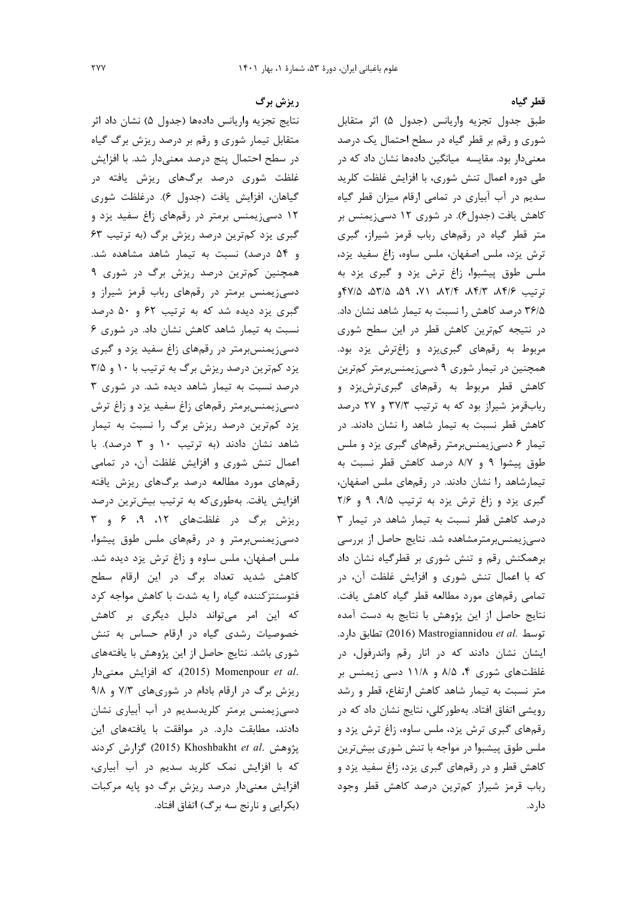قطر گیاه

طبق جدول تجزيه واريانس (جدول ۵) اثر متقابل شوری و رقم بر قطر گیاه در سطح احتمال یک درصد معنی دار بود. مقایسه میانگین دادهها نشان داد که در طی دوره اعمال تنش شوری، با افزایش غلظت کلرید سدیم در آب آبیاری در تمامی ارقام میزان قطر گیاه کاهش یافت (جدول۶). در شوری ۱۲ دسی; یمنس بر متر قطر گیاه در رقمهای رباب قرمز شیراز، گبری ترش يزد، ملس اصفهان، ملس ساوه، زاغ سفيد يزد، ملس طوق پیشبوا، زاغ ترش یزد و گبری یزد به ترتيب ٣/٤٨، ٣/٣٨، ٢/٢٨، ٧١، ٥/٥٣، ٣٧/۵، ٣٧/٩و ۳۶/۵ درصد کاهش را نسبت به تیمار شاهد نشان داد. در نتیجه کمترین کاهش قطر در این سطح شوری مربوط به رقمهای گبری زد و زاغترش پزد بود. همچنین در تیمار شوری ۹ دسی; یمنس برمتر کمترین کاهش قطر مربوط به رقمهای گبریترشیزد و ربابقرمز شیراز بود که به ترتیب ۳۷/۳ و ۲۷ درصد كاهش قطر نسبت به تيمار شاهد را نشان دادند. در تیمار ۶ دسی; یمنس برمتر رقمهای گبری یزد و ملس طوق پیشوا ۹ و ۸/۷ درصد کاهش قطر نسبت به تیمارشاهد را نشان دادند. در رقمهای ملس اصفهان، گبری یزد و زاغ ترش یزد به ترتیب ۹/۵، ۹ و ۲/۶ درصد كاهش قطر نسبت به تيمار شاهد در تيمار ٣ دسی; یمنس برمترمشاهده شد. نتایج حاصل از بررسی برهمکنش رقم و تنش شوری بر قطرگیاه نشان داد که با اعمال تنش شوری و افزایش غلظت آن، در تمامی رقمهای مورد مطالعه قطر گیاه کاهش یافت. نتايج حاصل از اين پژوهش با نتايج به دست آمده توسط .Mastrogiannidou et al (2016) تطابق دارد. ایشان نشان دادند که در انار رقم واندرفول، در غلظتهای شوری ۴، ۸/۵ و ۱۱/۸ دسی زیمنس بر متر نسبت به تیمار شاهد کاهش ارتفاع، قطر و رشد رویشی اتفاق افتاد. بهطور کلی، نتایج نشان داد که در رقمهای گبری ترش یزد، ملس ساوه، زاغ ترش یزد و ملس طوق پیشبوا در مواجه با تنش شوری بیشترین کاهش قطر و در رقمهای گبری یزد، زاغ سفید یزد و رباب قرمز شيراز كمترين درصد كاهش قطر وجود دار د.

نتايج تجزيه واريانس دادهها (جدول ۵) نشان داد اثر متقابل تیمار شوری و رقم بر درصد ریزش برگ گیاه در سطح احتمال پنج درصد معنیدار شد. با افزایش غلظت شوری درصد برگهای ریزش یافته در گیاهان، افزایش یافت (جدول ۶). درغلظت شوری ۱۲ دسی;یمنس برمتر در رقمهای زاغ سفید یزد و گبری یزد کم ترین درصد ریزش برگ (به ترتیب ۶۳ و ۵۴ درصد) نسبت به تیمار شاهد مشاهده شد. همچنین کم ترین درصد ریزش برگ در شوری ۹ دسی زیمنس برمتر در رقمهای رباب قرمز شیراز و گېری یزد دیده شد که به ترتیب ۶۲ و ۵۰ درصد نسبت به تیمار شاهد کاهش نشان داد. در شوری ۶ دسیزیمنس برمتر در رقمهای زاغ سفید یزد و گبری یزد کم ترین درصد ریزش برگ به ترتیب با ۱۰ و ۳/۵ درصد نسبت به تیمار شاهد دیده شد. در شوری ۳ دسی; یمنس برمتر رقمهای زاغ سفید یزد و زاغ ترش یزد کم ترین درصد ریزش برگ را نسبت به تیمار شاهد نشان دادند (به ترتیب ١٠ و ٣ درصد). با اعمال تنش شوری و افزایش غلظت آن، در تمامی رقمهای مورد مطالعه درصد برگهای ریزش یافته افزایش یافت. بهطوری که به ترتیب بیشترین درصد ریزش برگ در غلظتهای ۱۲، ۹، ۶ و ۳ دسی; یمنسبرمتر و در رقمهای ملس طوق پیشوا، ملس اصفهان، ملس ساوه و زاغ ترش یزد دیده شد. کاهش شدید تعداد برگ در این ارقام سطح فتوسنتز كننده گياه را به شدت با كاهش مواجه كرد که این امر می تواند دلیل دیگری بر کاهش خصوصیات رشدی گیاه در ارقام حساس به تنش شوری باشد. نتایج حاصل از این پژوهش با یافتههای .2015) Momenpour et al. كه افزايش معنى دار ریزش برگ در ارقام بادام در شوریهای ۷/۳ و ۹/۸ دسی; یمنس برمتر کلریدسدیم در آب آبیاری نشان دادند، مطابقت دارد. در موافقت با یافتههای این پژوهش .Khoshbakht et al (2015) گزارش کردند که با افزایش نمک کلرید سدیم در آب آبیاری، افزایش معنیدار درصد ریزش برگ دو پایه مرکبات (بکرایی و نارنج سه برگ) اتفاق افتاد.

ریزش برگ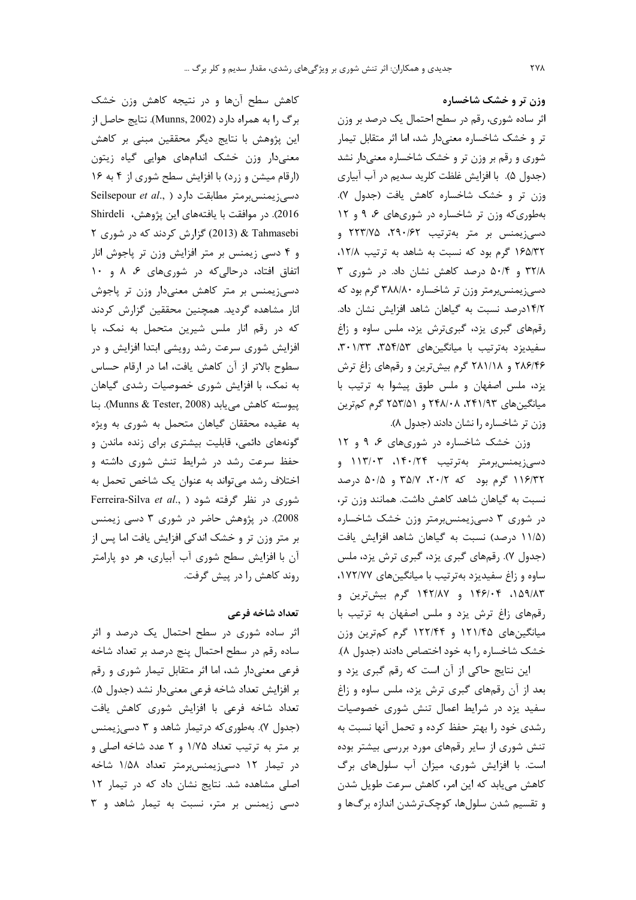وزن تر و خشک شاخساره اثر ساده شوری، رقم در سطح احتمال یک درصد بر وزن تر و خشک شاخساره معنیدار شد، اما اثر متقابل تیمار شوری و رقم بر وزن تر و خشک شاخساره معنیدار نشد (جدول ۵). با افزایش غلظت کلرید سدیم در آب آبیاری وزن تر و خشک شاخساره کاهش یافت (جدول ۷). بهطوری که وزن تر شاخساره در شوریهای ۶، ۹ و ١٢ دسی;یمنس بر متر بهترتیب ۲۹۰/۶۲، ۲۲۳/۷۵ و ١۶۵/٣٢ گرم بود که نسبت به شاهد به ترتیب ١٢/٨، ۳۲/۸ و ۵۰/۴ درصد کاهش نشان داد. در شوری ۳ دسی; یمنس برمتر وزن تر شاخساره ۳۸۸/۸۰ گرم بود که ١٤/٢درصد نسبت به گیاهان شاهد افزایش نشان داد. رقمهای گبری یزد، گبریترش یزد، ملس ساوه و زاغ سفیدیزد بهترتیب با میانگینهای ۳۵۴/۵۳، ۳۰۱/۳۳. ۲۸۶/۴۶ و ۲۸۱/۱۸ گرم بیشترین و رقمهای زاغ ترش یزد، ملس اصفهان و ملس طوق پیشوا به ترتیب با میانگینهای ۲۴۱/۹۳، ۲۴۸/۰۸ و ۲۵۳/۵۱ گرم کمترین وزن تر شاخساره را نشان دادند (جدول ۸).

وزن خشک شاخساره در شوریهای ۶، ۹ و ۱۲ دسیزیمنسبرمتر بهترتیب ۱۴۰/۲۴، ۱۱۳/۰۳ و ۱۱۶/۳۲ گرم بود که ۲۰/۲، ۳۵/۷ و ۵۰/۵ درصد نسبت به گیاهان شاهد کاهش داشت. همانند وزن تر، در شوری ۳ دسیزیمنسبرمتر وزن خشک شاخساره (۱۱/۵ درصد) نسبت به گیاهان شاهد افزایش یافت (جدول ۷). رقمهای گبری یزد، گبری ترش یزد، ملس ساوه و زاغ سفیدیزد بهترتیب با میانگینهای ١٧٢/٧٧. ۱۵۹/۸۳، ۱۴۶/۰۴ و ۱۴۲/۸۷ گرم بیشترین و رقمهای زاغ ترش یزد و ملس اصفهان به ترتیب با میانگینهای ۱۲۱/۴۵ و ۱۲۲/۴۴ گرم کمترین وزن خشک شاخساره را به خود اختصاص دادند (جدول ۸).

این نتایج حاکی از آن است که رقم گبری یزد و بعد از آن رقمهای گبری ترش یزد، ملس ساوه و زاغ سفید یزد در شرایط اعمال تنش شوری خصوصیات رشدی خود را بهتر حفظ کرده و تحمل آنها نسبت به تنش شوری از سایر رقمهای مورد بررسی بیشتر بوده است. با افزایش شوری، میزان آب سلولهای برگ كاهش مىيابد كه اين امر، كاهش سرعت طويل شدن و تقسیم شدن سلولها، کوچکترشدن اندازه برگها و

كاهش سطح آنها و در نتيجه كاهش وزن خشك برگ را به همراه دارد (Munns, 2002). نتايج حاصل از این پژوهش با نتایج دیگر محققین مبنی بر کاهش معنیدار وزن خشک اندامهای هوایی گیاه زیتون (ارقام میشن و زرد) با افزایش سطح شوری از ۴ به ١۶ Seilsepour et al., ) دسیزیمنس برمتر مطابقت دارد 2016). در موافقت با یافتههای این پژوهش، Shirdeli X Tahmasebi (2013) گزارش کردند که در شوری ۲ و ۴ دسی زیمنس بر متر افزایش وزن تر پاجوش انار اتفاق افتاد، درحالی که در شوریهای ۶، ۸ و ۱۰ دسیزیمنس بر متر کاهش معنیدار وزن تر پاجوش انار مشاهده گردید. همچنین محققین گزارش کردند كه در رقم انار ملس شيرين متحمل به نمك، با افزایش شوری سرعت رشد رویشی ابتدا افزایش و در سطوح بالاتر از آن كاهش يافت، اما در ارقام حساس به نمک، با افزایش شوری خصوصیات رشدی گیاهان ييوسته كاهش مي يابد (Munns & Tester, 2008). بنا به عقیده محققان گیاهان متحمل به شوری به ویژه گونههای دائمی، قابلیت بیشتری برای زنده ماندن و حفظ سرعت رشد در شرایط تنش شوری داشته و اختلاف رشد میتواند به عنوان یک شاخص تحمل به Ferreira-Silva et al., ) شوری در نظر گرفته شود 2008). در پژوهش حاضر در شوری ۳ دسی زیمنس بر متر وزن تر و خشک اندکی افزایش یافت اما پس از آن با افزایش سطح شوری آب آبیاری، هر دو پارامتر روند کاهش را در پیش گرفت.

# تعداد شاخه فرعي

اثر ساده شوری در سطح احتمال یک درصد و اثر ساده رقم در سطح احتمال پنج درصد بر تعداد شاخه فرعی معنیدار شد، اما اثر متقابل تیمار شوری و رقم بر افزایش تعداد شاخه فرعی معنیدار نشد (جدول ۵). تعداد شاخه فرعی با افزایش شوری کاهش یافت (جدول ۷). بهطوری که درتیمار شاهد و ۳ دسی; یمنس بر متر به ترتیب تعداد ۱/۷۵ و ۲ عدد شاخه اصلی و در تیمار ۱۲ دسی; یمنس برمتر تعداد ۱/۵۸ شاخه اصلی مشاهده شد. نتایج نشان داد که در تیمار ١٢ دسی زیمنس بر متر، نسبت به تیمار شاهد و ۳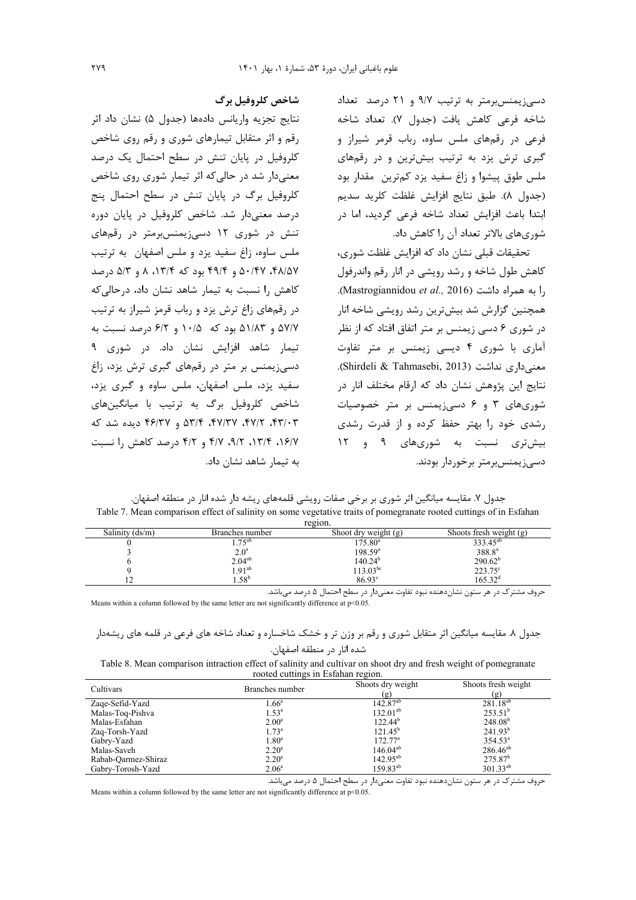دسی; یمنس برمتر به ترتیب ۹/۷ و ۲۱ درصد تعداد شاخه فرعی کاهش یافت (جدول ۷). تعداد شاخه فرعی در رقمهای ملس ساوه، رباب قرمر شیراز و گبری ترش یزد به ترتیب بیشترین و در رقمهای ملس طوق پیشوا و زاغ سفید یزد کمترین مقدار بود (جدول ٨). طبق نتايج افزايش غلظت كلريد سديم ابتدا باعث افزایش تعداد شاخه فرعی گردید، اما در شوریهای بالاتر تعداد آن را کاهش داد.

تحقیقات قبلی نشان داد که افزایش غلظت شوری، کاهش طول شاخه و رشد رویشی در انار رقم واندرفول .(ابه همراه داشت (Mastrogiannidou et al., 2016). همچنین گزارش شد بیشترین رشد رویشی شاخه انار در شوری ۶ دسی زیمنس بر متر اتفاق افتاد که از نظر آماری با شوری ۴ دیسی زیمنس بر متر تفاوت معنى دارى نداشت (Shirdeli & Tahmasebi, 2013). نتایج این پژوهش نشان داد که ارقام مختلف انار در شوریهای ۳ و ۶ دسی; یمنس بر متر خصوصیات رشدی خود را بهتر حفظ کرده و از قدرت رشدی بیش تری نسبت به شوریهای ۹ و ۱۲ دسی; یمنس،برمتر برخوردار بودند.

# شاخص کلروفیل برگ

نتايج تجزيه واريانس دادهها (جدول ۵) نشان داد اثر رقم و اثر متقابل تیمارهای شوری و رقم روی شاخص کلروفیل در پایان تنش در سطح احتمال یک درصد معنیدار شد در حالی که اثر تیمار شوری روی شاخص کلروفیل برگ در پایان تنش در سطح احتمال پنج درصد معنیدار شد. شاخص کلروفیل در پایان دوره تنش در شوری ۱۲ دسی; یمنس برمتر در رقمهای ملس ساوه، زاغ سفید یزد و ملس اصفهان به ترتیب ۴۸/۵۷، ۴۸/۵۷ و ۴۹/۴ بود که ۱۳/۴، ۸ و ۵/۳ درصد كاهش ,ا نسبت به تیمار شاهد نشان داد، درحالی كه در رقمهای زاغ ترش یزد و رباب قرمز شیراز به ترتیب ۵۷/۷ و ۵۱/۸۳ بود که ۱۰/۵ و ۶/۲ درصد نسبت به تیمار شاهد افزایش نشان داد. در شوری ۹ دسی; یمنس بر متر در رقمهای گبری ترش یزد، زاغ سفید یزد، ملس اصفهان، ملس ساوه و گبری یزد، شاخص کلروفیل برگ به ترتیب با میانگینهای ۴۲/۰۳، ۴۷/۲۲، ۴۷/۳۷، ۵۳/۴ و ۴۶/۳۷ دیده شد که ۰۱۶/۷، ۹/۲، ۹/۲، ۴/۷ و ۴/۲ درصد کاهش را نسبت به تیمار شاهد نشان داد.

جدول ۷. مقایسه میانگین اثر شوری بر برخی صفات رویشی قلمههای ریشه دار شده انار در منطقه اصفهان. Table 7. Mean comparison effect of salinity on some vegetative traits of pomegranate rooted cuttings of in Esfahan region

| -------           |                      |                                      |  |  |  |  |  |
|-------------------|----------------------|--------------------------------------|--|--|--|--|--|
| Branches number   | Shoot dry weight (g) | Shoots fresh weight (g)              |  |  |  |  |  |
| $75^{ab}$         | $175.80^{\circ}$     | $333.45^{ab}$                        |  |  |  |  |  |
| 2.0 <sup>a</sup>  | $198.59^{a}$         | 388.8ª                               |  |  |  |  |  |
|                   |                      | $290.62^{b}$                         |  |  |  |  |  |
| $1.91^{\rm ab}$   |                      | $223.75^{\circ}$                     |  |  |  |  |  |
| 1.58 <sup>b</sup> | $86.93^\circ$        | $165.32^{\rm d}$                     |  |  |  |  |  |
|                   | $2.04^{ab}$          | 140.24 <sup>b</sup><br>$113.03^{bc}$ |  |  |  |  |  |

حروف مشترک در هر ستون نشاندهنده نبود تفاوت معنیدار در سطح احتمال ۵ درصد میباشد.

Means within a column followed by the same letter are not significantly difference at  $p<0.05$ .

Table 8. Mean comparison intraction effect of salinity and cultivar on shoot dry and fresh weight of pomegranate rooted cuttings in Esfahan region.

| Cultivars           | Branches number   | Shoots dry weight<br>(g) | Shoots fresh weight<br>(g) |
|---------------------|-------------------|--------------------------|----------------------------|
| Zaqe-Sefid-Yazd     | $1.66^{\circ}$    | $142.87^{ab}$            | $281.18^{ab}$              |
| Malas-Toq-Pishva    | $1.53^{\circ}$    | $132.01^{ab}$            | $253.51^b$                 |
| Malas-Esfahan       | $2.00^{\rm a}$    | $122.44^{b}$             | $248.08^{b}$               |
| Zaq-Torsh-Yazd      | $1.73^a$          | $121.45^b$               | 241.93 <sup>b</sup>        |
| Gabry-Yazd          | 1.80 <sup>a</sup> | $172.77^{\circ}$         | $354.53^{\circ}$           |
| Malas-Saveh         | $2.20^{\circ}$    | $146.04^{ab}$            | $286.46^{ab}$              |
| Rabab-Oarmez-Shiraz | $2.20^{\circ}$    | $142.95^{ab}$            | $275.87^{b}$               |
| Gabry-Torosh-Yazd   | $2.06^{\circ}$    | $159.83^{ab}$            | $301.33^{ab}$              |

.<br>حروف مشترک در هر ستون نشاندهنده نبود تفاوت معنیدار در سطح احتمال ۵ درصد می باشد.

Means within a column followed by the same letter are not significantly difference at  $p<0.05$ .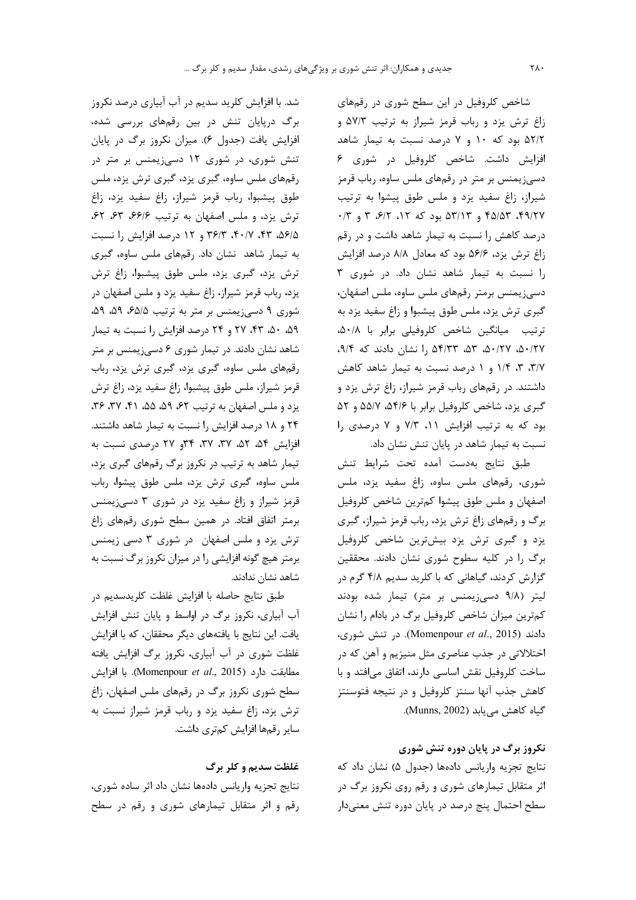شد. با افزایش کلرید سدیم در آب آبیاری درصد نکروز برگ درپایان تنش در بین رقمهای بررسی شده، افزایش یافت (جدول ۶). میزان نکروز برگ در پایان تنش شوری، در شوری ۱۲ دسی;زیمنس بر متر در رقمهای ملس ساوه، گبری یزد، گبری ترش یزد، ملس طوق پیشبوا، رباب قرمز شیراز، زاغ سفید یزد، زاغ ترش یزد، و ملس اصفهان به ترتیب ۶۶/۶، ۶۳، ۶۲، ۵۶/۵، ۴۳، ۴۰/۷، ۳۶/۳ و ۱۲ درصد افزایش را نسبت به تیمار شاهد نشان داد. رقمهای ملس ساوه، گبری ترش يزد، گبرى يزد، ملس طوق پيشبوا، زاغ ترش یزد، رباب قرمز شیراز، زاغ سفید یزد و ملس اصفهان در شوری ۹ دسی; یمنس بر متر به ترتیب ۶۵/۵، ۵۹، ۵۹، ۵۹، ۵۰، ۴۳، ۲۷ و ۲۴ درصد افزایش را نسبت به تیمار شاهد نشان دادند. در تیمار شوری ۶ دسی; یمنس بر متر رقمهای ملس ساوه، گیری یزد، گیری ترش یزد، رباب قرمز شيراز، ملس طوق پيشبوا، زاغ سفيد يزد، زاغ ترش یزد و ملس اصفهان به ترتیب ۶۲، ۵۹، ۵۵، ۴۱، ۳۲، ۳۶، ۲۴ و ۱۸ درصد افزایش را نسبت به تیمار شاهد داشتند. افزایش ۵۴، ۵۲، ۳۷، ۳۷، ۳۴و ۲۷ درصدی نسبت به تیمار شاهد به ترتیب در نکروز برگ رقمهای گبری یزد، ملس ساوه، گبری ترش یزد، ملس طوق پیشوا، رباب قرمز شیراز و زاغ سفید یزد در شوری ۳ دسیزیمنس برمتر اتفاق افتاد. در همین سطح شوری رقمهای زاغ ترش یزد و ملس اصفهان در شوری ۳ دسی زیمنس برمتر هیچ گونه افزایشی را در میزان نکروز برگ نسبت به شاهد نشان ندادند.

طبق نتايج حاصله با افزايش غلظت كلريدسديم در آب آبیاری، نکروز برگ در اواسط و پایان تنش افزایش يافت. اين نتايج با يافتههاي ديگر محققان، كه با افزايش غلظت شوری در آب آبیاری، نکروز برگ افزایش یافته مطابقت دارد (Momenpour et al., 2015). با افزايش سطح شوری نکروز برگ در رقمهای ملس اصفهان، زاغ ترش یزد، زاغ سفید یزد و رباب قرمز شیراز نسبت به سایر رقمها افزایش کمتری داشت.

# غلظت سديم و كلر برگ

نتايج تجزيه واريانس دادهها نشان داد اثر ساده شورى، رقم و اثر متقابل تیمارهای شوری و رقم در سطح

شاخص کلروفیل در این سطح شوری در رقمهای زاغ ترش یزد و رباب قرمز شیراز به ترتیب ۵۷/۳ و ۵۲/۲ بود که ۱۰ و ۷ درصد نسبت به تیمار شاهد افزایش داشت. شاخص کلروفیل در شوری ۶ دسیزیمنس بر متر در رقمهای ملس ساوه، رباب قرمز شیراز، زاغ سفید یزد و ملس طوق پیشوا به ترتیب ۴۹/۲۷، ۴۵/۵۳ و ۵۳/۱۳ بود که ۱۲، ۶/۲، ۳ و ۰/۳ درصد کاهش را نسبت به تیمار شاهد داشت و در رقم زاغ ترش یزد، ۵۶/۶ بود که معادل ۸/۸ درصد افزایش را نسبت به تیمار شاهد نشان داد. در شوری ۳ دسیزیمنس برمتر رقمهای ملس ساوه، ملس اصفهان، گبری ترش یزد، ملس طوق پیشبوا و زاغ سفید یزد به ترتيب ميانگين شاخص كلروفيلي برابر با ۵۰/۸، ۵۰/۲۷، ۵۰/۲۷، ۵۳، ۵۴/۳۳ را نشان دادند که ۹/۴، ٣/٧، ٣، ١/٤ و ١ درصد نسبت به تيمار شاهد كاهش داشتند. در رقمهای رباب قرمز شیراز، زاغ ترش یزد و گبری یزد، شاخص کلروفیل برابر با ۵۴/۶، ۵۵/۷ و ۵۲ بود که به ترتیب افزایش ١١، ٧/٣ و ٧ درصدی را نسبت به تیمار شاهد در پایان تنش نشان داد.

طبق نتايج بهدست آمده تحت شرايط تنش شوری، رقمهای ملس ساوه، زاغ سفید یزد، ملس اصفهان و ملس طوق پیشوا کمترین شاخص کلروفیل برگ و رقمهای زاغ ترش یزد، رباب قرمز شیراز، گبری یزد و گبری ترش یزد بیشترین شاخص کلروفیل برگ را در کلیه سطوح شوری نشان دادند. محققین گزارش کردند، گیاهانی که با کلرید سدیم ۴/۸ گرم در لیتر (۹/۸ دسیزیمنس بر متر) تیمار شده بودند کمترین میزان شاخص کلروفیل برگ در بادام را نشان دادند (Momenpour et al., 2015). در تنش شوری، اختلالاتي در جذب عناصري مثل منيزيم و آهن كه در ساخت کلروفیل نقش اساسی دارند، اتفاق می افتد و با كاهش جذب آنها سنتز كلروفيل و در نتيجه فتوسنتز گیاه کاهش می یابد (Munns, 2002).

# نکروز برگ در پایان دوره تنش شوری

نتايج تجزيه واريانس دادهها (جدول ۵) نشان داد كه اثر متقابل تیمارهای شوری و رقم روی نکروز برگ در سطح احتمال پنج درصد در پایان دوره تنش معنیدار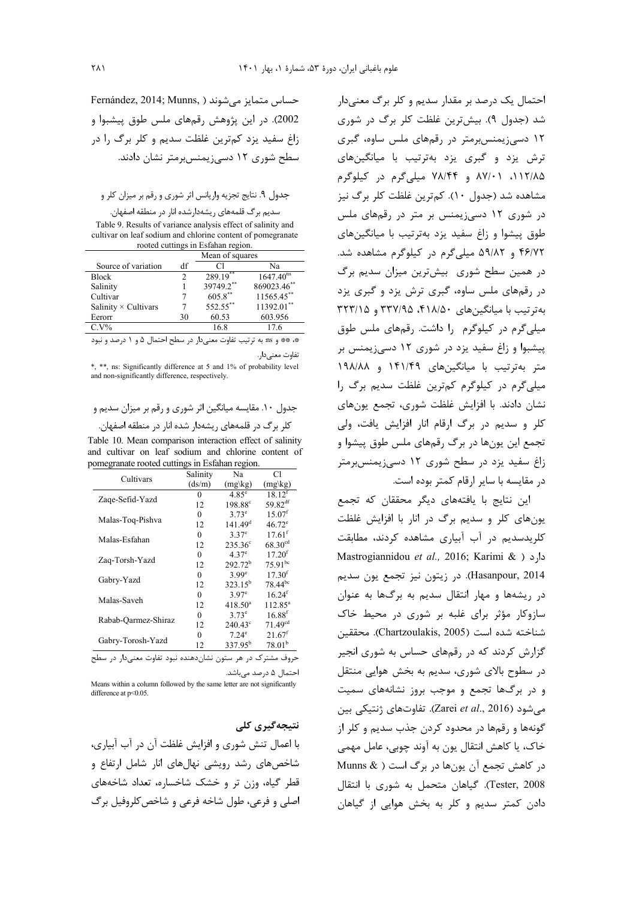Fernández, 2014; Munns, ) حساس متمايز مي شوند 2002). در این پژوهش رقمهای ملس طوق پیشبوا و زاغ سفید یزد کمترین غلظت سدیم و کلر برگ را در سطح شوری ١٢ دسی; یمنس برمتر نشان دادند.

جدول ۹. نتایج تجزیه واریانس اثر شوری و رقم بر میزان کلر و

سدیم برگ قلمههای ریشهدارشده انار در منطقه اصفهان. Table 9. Results of variance analysis effect of salinity and cultivar on leaf sodium and chlorine content of pomegranate rooted cuttings in Esfahan region.

|                                                                   | Mean of squares |             |                       |  |  |  |  |
|-------------------------------------------------------------------|-----------------|-------------|-----------------------|--|--|--|--|
| Source of variation                                               | df              | CI          | Na                    |  |  |  |  |
| <b>Block</b>                                                      | $\mathcal{D}$   | $289.19***$ | 1647.40 <sup>ns</sup> |  |  |  |  |
| Salinity                                                          |                 | 39749.2**   | 869023.46**           |  |  |  |  |
| Cultivar                                                          |                 | $605.8***$  | 11565.45**            |  |  |  |  |
| Salinity $\times$ Cultivars                                       |                 | 552.55**    | 11392.01**            |  |  |  |  |
| Eerorr                                                            | 30              | 60.53       | 603.956               |  |  |  |  |
| $C.V\%$                                                           |                 | 16.8        | 17.6                  |  |  |  |  |
| *» ** و ns به ترتیب تفاوت معنیدار در سطح احتمال ۵ و ۱ درصد و نبود |                 |             |                       |  |  |  |  |

تفاوت معنىدار.

\*, \*\*, ns: Significantly difference at 5 and 1% of probability level and non-significantly difference, respectively.

جدول ۱۰. مقایسه میانگین اثر شوری و رقم بر میزان سدیم و کلر برگ در قلمههای ریشهدار شده انار در منطقه اصفهان.

Table 10. Mean comparison interaction effect of salinity and cultivar on leaf sodium and chlorine content of pomegranate rooted cuttings in Esfahan region.

| Cultivars           | Salinity | Na                  | C1                   |
|---------------------|----------|---------------------|----------------------|
|                     | (ds/m)   | $(mg\$ {kg})        | $(mg\$ {kg})         |
| Zaqe-Sefid-Yazd     | 0        | $4.85^\circ$        | 18.12 <sup>f</sup>   |
|                     | 12       | 198.88 <sup>c</sup> | 59.82 <sup>df</sup>  |
| Malas-Toq-Pishva    | 0        | $3.73^{\circ}$      | 15.07 <sup>f</sup>   |
|                     | 12       | 141.49 <sup>d</sup> | $46.72^{\circ}$      |
| Malas-Esfahan       | 0        | $3.37^{\circ}$      | $17.61$ <sup>f</sup> |
|                     | 12       | $235.36^{\circ}$    | 68.30 <sup>cd</sup>  |
|                     | 0        | 4.37 <sup>e</sup>   | 17.20 <sup>f</sup>   |
| Zaq-Torsh-Yazd      | 12       | $292.72^{b}$        | $75.91^{bc}$         |
|                     | 0        | 3.99 <sup>e</sup>   | 17.30 <sup>f</sup>   |
| Gabry-Yazd          | 12       | $323.15^{b}$        | $78.44^{bc}$         |
| Malas-Saveh         | 0        | 3.97 <sup>e</sup>   | 16.24 <sup>f</sup>   |
|                     | 12       | $418.50^{a}$        | $112.85^a$           |
|                     | $\theta$ | $3.73^{\circ}$      | $16.88^{f}$          |
| Rabab-Oarmez-Shiraz | 12       | $240.43^{\circ}$    | 71.49 <sup>cd</sup>  |
|                     | $\theta$ | $7.24^{\circ}$      | $21.67$ <sup>f</sup> |
| Gabry-Torosh-Yazd   | 12       | 337.95 <sup>b</sup> | 78.01 <sup>b</sup>   |

حروف مشترک در هر ستون نشاندهنده نبود تفاوت معنىدار در سطح احتمال ۵ درصد میباشد.

Means within a column followed by the same letter are not significantly difference at p<0.05.

#### نتىجەگىرى كلى

با اعمال تنش شوري و افزايش غلظت آن در آب آبياري، شاخصهای رشد رویشی نهالهای انار شامل ارتفاع و قطر گیاه، وزن تر و خشک شاخساره، تعداد شاخههای اصلي و فرعي، طول شاخه فرعي و شاخص كلروفيل برگ احتمال یک درصد بر مقدار سدیم و کلر برگ معنیدار شد (جدول ۹). بیشترین غلظت کلر برگ در شوری ١٢ دسی; یمنس برمتر در رقمهای ملس ساوه، گبری ترش یزد و گبری یزد بهترتیب با میانگینهای ۱۱۲/۸۵، ۸۷/۰۱ و ۷۸/۴۴ میلیگرم در کیلوگرم مشاهده شد (جدول ۱۰). کمترین غلظت کلر برگ نیز در شوری ۱۲ دسیزیمنس بر متر در رقمهای ملس طوق پیشوا و زاغ سفید یزد بهترتیب با میانگینهای ۴۶/۷۲ و ۵۹/۸۲ میلی گرم در کیلوگرم مشاهده شد. در همین سطح شوری بیشترین میزان سدیم برگ در رقمهای ملس ساوه، گبری ترش یزد و گبری یزد بهترتیب با میانگینهای ۴۱۸/۵۰، ۳۳۷/۹۵ و ۳۲۳/۱۵ میلی گرم در کیلوگرم را داشت. رقمهای ملس طوق پیشبوا و زاغ سفید یزد در شوری ۱۲ دسی; یمنس بر متر بهترتیب با میانگینهای ۱۴۱/۴۹ و ۱۹۸/۸۸ میلی گرم در کیلوگرم کمترین غلظت سدیم برگ را نشان دادند. با افزایش غلظت شوری، تجمع پونهای کلر و سديم در برگ ارقام انار افزايش يافت، ولي تجمع این یونها در برگ رقمهای ملس طوق پیشوا و زاغ سفید یزد در سطح شوری ۱۲ دسی; یمنس برمتر در مقايسه با ساير ارقام كمتر بوده است.

این نتایج با یافتههای دیگر محققان که تجمع یونهای کلر و سدیم برگ در انار با افزایش غلظت کلریدسدیم در آب آبیاری مشاهده کردند، مطابقت Mastrogiannidou et al., 2016; Karimi & ) دارد Hasanpour, 2014). در زيتون نيز تجمع يون سديم در ریشهها و مهار انتقال سدیم به برگها به عنوان سازوکار مؤثر برای غلبه بر شوری در محیط خاک شناخته شده است (Chartzoulakis, 2005). محققین گزارش کردند که در رقمهای حساس به شوری انجیر در سطوح بالای شوری، سدیم به بخش هوایی منتقل و در برگها تجمع و موجب بروز نشانههای سمیت می شود (Zarei *et al*., 2016). تفاوتهای ژنتیکی بین گونهها و رقمها در محدود کردن جذب سدیم و کلر از خاک، یا کاهش انتقال یون به آوند چوبی، عامل مهمی در کاهش تجمع آن یونها در برگ است ( & Munns Tester, 2008). گیاهان متحمل به شوری با انتقال دادن کمتر سدیم و کلر به بخش هوایی از گیاهان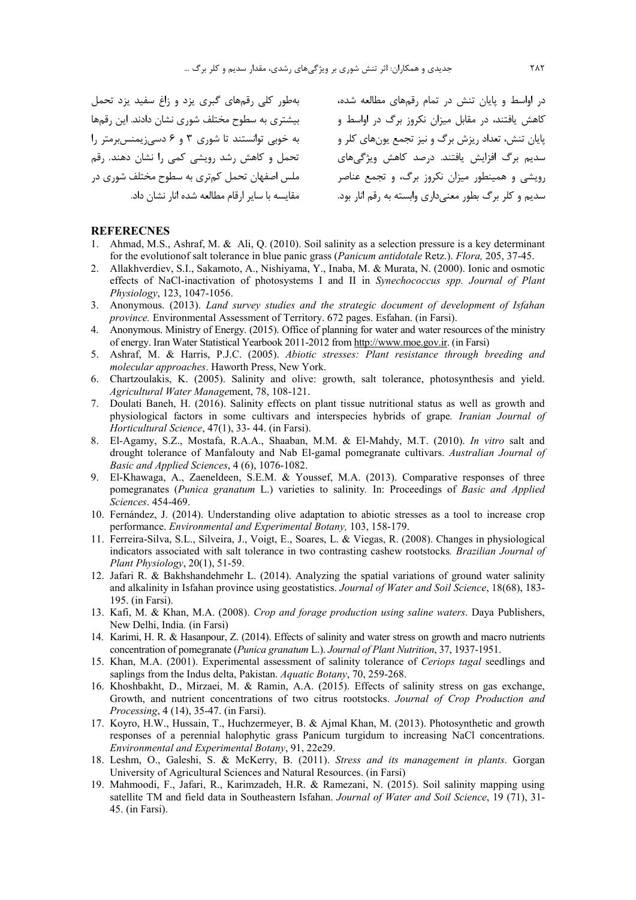بهطور کلی رقمهای گبری یزد و زاغ سفید یزد تحمل بیشتری به سطوح مختلف شوری نشان دادند. این رقمها به خوبی توانستند تا شوری ۳ و ۶ دسیزیمنس برمتر را تحمل و کاهش رشد رویشی کمی را نشان دهند. رقم ملس اصفهان تحمل کمتری به سطوح مختلف شوری در مقايسه با ساير ارقام مطالعه شده انار نشان داد.

در اواسط و پایان تنش در تمام رقمهای مطالعه شده، كاهش يافتند، در مقابل ميزان نكروز برگ در اواسط و پایان تنش، تعداد ریزش برگ و نیز تجمع یونهای کلر و سدیم برگ افزایش یافتند. درصد کاهش ویژگیهای رویشی و همینطور میزان نکروز برگ، و تجمع عناصر سدیم و کلر برگ بطور معنے داری وابسته به رقم انار بود.

### **REFERECNES**

- 1. Ahmad, M.S., Ashraf, M. & Ali, Q. (2010). Soil salinity as a selection pressure is a key determinant for the evolutionof salt tolerance in blue panic grass (*Panicum antidotale* Retz.). *Flora,* 205, 37-45.
- 2. Allakhverdiev, S.I., Sakamoto, A., Nishiyama, Y., Inaba, M. & Murata, N. (2000). Ionic and osmotic effects of NaCl-inactivation of photosystems I and II in *Synechococcus spp. Journal of Plant Physiology*, 123, 1047-1056.
- 3. Anonymous. (2013). *Land survey studies and the strategic document of development of Isfahan province.* Environmental Assessment of Territory. 672 pages. Esfahan. (in Farsi).
- 4. Anonymous. Ministry of Energy. (2015). Office of planning for water and water resources of the ministry of energy. Iran Water Statistical Yearbook 2011-2012 from http://www.moe.gov.ir. (in Farsi)
- 5. Ashraf, M. & Harris, P.J.C. (2005). *Abiotic stresses: Plant resistance through breeding and molecular approaches*. Haworth Press, New York.
- 6. Chartzoulakis, K. (2005). Salinity and olive: growth, salt tolerance, photosynthesis and yield. *Agricultural Water Manage*ment, 78, 108-121.
- 7. Doulati Baneh, H. (2016). Salinity effects on plant tissue nutritional status as well as growth and physiological factors in some cultivars and interspecies hybrids of grape*. Iranian Journal of Horticultural Science*, 47(1), 33- 44. (in Farsi).
- 8. El-Agamy, S.Z., Mostafa, R.A.A., Shaaban, M.M. & El-Mahdy, M.T. (2010). *In vitro* salt and drought tolerance of Manfalouty and Nab El-gamal pomegranate cultivars. *Australian Journal of Basic and Applied Sciences*, 4 (6), 1076-1082.
- 9. El-Khawaga, A., Zaeneldeen, S.E.M. & Youssef, M.A. (2013). Comparative responses of three pomegranates (*Punica granatum* L.) varieties to salinity*.* In: Proceedings of *Basic and Applied Sciences*. 454-469.
- 10. Fernández, J. (2014). Understanding olive adaptation to abiotic stresses as a tool to increase crop performance. *Environmental and Experimental Botany,* 103, 158-179.
- 11. Ferreira-Silva, S.L., Silveira, J., Voigt, E., Soares, L. & Viegas, R. (2008). Changes in physiological indicators associated with salt tolerance in two contrasting cashew rootstocks*. Brazilian Journal of Plant Physiology*, 20(1), 51-59.
- 12. Jafari R. & Bakhshandehmehr L. (2014). Analyzing the spatial variations of ground water salinity and alkalinity in Isfahan province using geostatistics. *Journal of Water and Soil Science*, 18(68), 183- 195. (in Farsi).
- 13. Kafi, M. & Khan, M.A. (2008). *Crop and forage production using saline waters*. Daya Publishers, New Delhi, India*.* (in Farsi)
- 14. Karimi, H. R. & Hasanpour, Z. (2014). Effects of salinity and water stress on growth and macro nutrients concentration of pomegranate (*Punica granatum* L.). *Journal of Plant Nutrition*, 37, 1937-1951.
- 15. Khan, M.A. (2001). Experimental assessment of salinity tolerance of *Ceriops tagal* seedlings and saplings from the Indus delta, Pakistan. *Aquatic Botany*, 70, 259-268.
- 16. Khoshbakht, D., Mirzaei, M. & Ramin, A.A. (2015). Effects of salinity stress on gas exchange, Growth, and nutrient concentrations of two citrus rootstocks. *Journal of Crop Production and Processing*, 4 (14), 35-47. (in Farsi).
- 17. Koyro, H.W., Hussain, T., Huchzermeyer, B. & Ajmal Khan, M. (2013). Photosynthetic and growth responses of a perennial halophytic grass Panicum turgidum to increasing NaCl concentrations. *Environmental and Experimental Botany*, 91, 22e29.
- 18. Leshm, O., Galeshi, S. & McKerry, B. (2011). *Stress and its management in plants*. Gorgan University of Agricultural Sciences and Natural Resources. (in Farsi)
- 19. Mahmoodi, F., Jafari, R., Karimzadeh, H.R. & Ramezani, N. (2015). Soil salinity mapping using satellite TM and field data in Southeastern Isfahan. *Journal of Water and Soil Science*, 19 (71), 31- 45. (in Farsi).